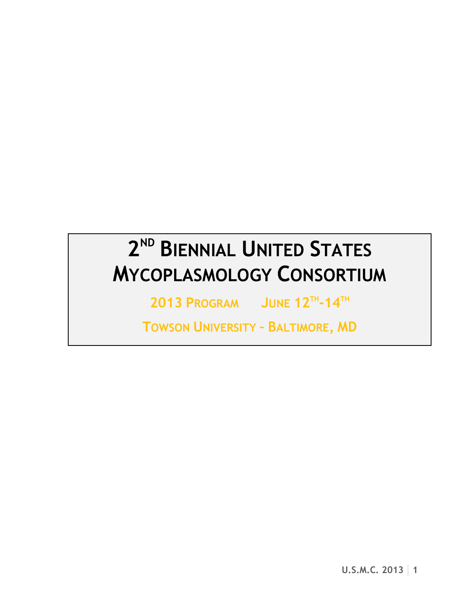# **2 ND BIENNIAL UNITED STATES MYCOPLASMOLOGY CONSORTIUM**

**2013 PROGRAM JUNE 12TH -14TH**

**TOWSON UNIVERSITY – BALTIMORE, MD**

**U.S.M.C. 2013 1**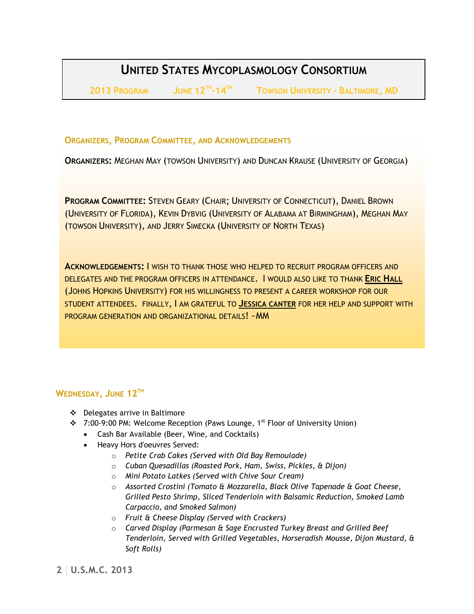## **UNITED STATES MYCOPLASMOLOGY CONSORTIUM**

**2013 PROGRAM JUNE 12TH**

 $T$  **TOWSON UNIVERSITY - BALTIMORE, MD** 

**ORGANIZERS, PROGRAM COMMITTEE, AND ACKNOWLEDGEMENTS**

**ORGANIZERS:** MEGHAN MAY (TOWSON UNIVERSITY) AND DUNCAN KRAUSE (UNIVERSITY OF GEORGIA)

**PROGRAM COMMITTEE:** STEVEN GEARY (CHAIR; UNIVERSITY OF CONNECTICUT), DANIEL BROWN (UNIVERSITY OF FLORIDA), KEVIN DYBVIG (UNIVERSITY OF ALABAMA AT BIRMINGHAM), MEGHAN MAY (TOWSON UNIVERSITY), AND JERRY SIMECKA (UNIVERSITY OF NORTH TEXAS)

**ACKNOWLEDGEMENTS:** I WISH TO THANK THOSE WHO HELPED TO RECRUIT PROGRAM OFFICERS AND DELEGATES AND THE PROGRAM OFFICERS IN ATTENDANCE. I WOULD ALSO LIKE TO THANK **ERIC HALL** (JOHNS HOPKINS UNIVERSITY) FOR HIS WILLINGNESS TO PRESENT A CAREER WORKSHOP FOR OUR STUDENT ATTENDEES. FINALLY, I AM GRATEFUL TO **JESSICA CANTER** FOR HER HELP AND SUPPORT WITH PROGRAM GENERATION AND ORGANIZATIONAL DETAILS! ~MM

## **WEDNESDAY, JUNE 12TH**

- Delegates arrive in Baltimore
- ◆ 7:00-9:00 PM: Welcome Reception (Paws Lounge, 1<sup>st</sup> Floor of University Union)
	- Cash Bar Available (Beer, Wine, and Cocktails)
	- Heavy Hors d'oeuvres Served:
		- o *Petite Crab Cakes (Served with Old Bay Remoulade)*
		- o *Cuban Quesadillas (Roasted Pork, Ham, Swiss, Pickles, & Dijon)*
		- o *Mini Potato Latkes (Served with Chive Sour Cream)*
		- o *Assorted Crostini (Tomato & Mozzarella, Black Olive Tapenade & Goat Cheese, Grilled Pesto Shrimp, Sliced Tenderloin with Balsamic Reduction, Smoked Lamb Carpaccio, and Smoked Salmon)*
		- o *Fruit & Cheese Display (Served with Crackers)*
		- o *Carved Display (Parmesan & Sage Encrusted Turkey Breast and Grilled Beef Tenderloin, Served with Grilled Vegetables, Horseradish Mousse, Dijon Mustard, & Soft Rolls)*

**2 U.S.M.C. 2013**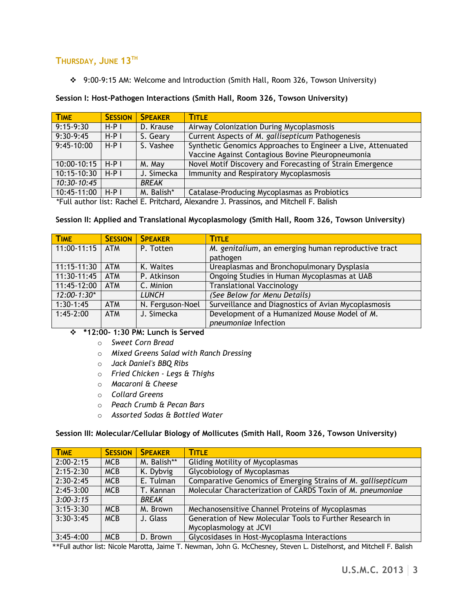## **THURSDAY, JUNE 13TH**

9:00-9:15 AM: Welcome and Introduction (Smith Hall, Room 326, Towson University)

| <b>TIME</b>  | <b>SESSION</b> | <b>SPFAKER</b> | <b>TITLE</b>                                                                                                      |
|--------------|----------------|----------------|-------------------------------------------------------------------------------------------------------------------|
| $9:15-9:30$  | $H-P$          | D. Krause      | Airway Colonization During Mycoplasmosis                                                                          |
| $9:30-9:45$  | $H-PI$         | S. Geary       | Current Aspects of M. gallisepticum Pathogenesis                                                                  |
| $9:45-10:00$ | $H-PI$         | S. Vashee      | Synthetic Genomics Approaches to Engineer a Live, Attenuated<br>Vaccine Against Contagious Bovine Pleuropneumonia |
| 10:00-10:15  | $H-PI$         | M. May         | Novel Motif Discovery and Forecasting of Strain Emergence                                                         |
| 10:15-10:30  | $H-PI$         | J. Simecka     | Immunity and Respiratory Mycoplasmosis                                                                            |
| 10:30-10:45  |                | <b>BREAK</b>   |                                                                                                                   |
| 10:45-11:00  | $H-PI$         | M. Balish*     | Catalase-Producing Mycoplasmas as Probiotics                                                                      |

#### **Session I: Host-Pathogen Interactions (Smith Hall, Room 326, Towson University)**

\*Full author list: Rachel E. Pritchard, Alexandre J. Prassinos, and Mitchell F. Balish

#### **Session II: Applied and Translational Mycoplasmology (Smith Hall, Room 326, Towson University)**

| <b>TIME</b>         | <b>SESSION</b> | <b>SPEAKER</b>          | <b>TITLE</b>                                        |  |
|---------------------|----------------|-------------------------|-----------------------------------------------------|--|
| $11:00-11:15$ $ATM$ |                | P. Totten               | M. genitalium, an emerging human reproductive tract |  |
|                     |                |                         | pathogen                                            |  |
| $11:15-11:30$       | <b>ATM</b>     | K. Waites               | Ureaplasmas and Bronchopulmonary Dysplasia          |  |
| 11:30-11:45         | <b>ATM</b>     | P. Atkinson             | Ongoing Studies in Human Mycoplasmas at UAB         |  |
| 11:45-12:00         | <b>ATM</b>     | $\overline{C}$ . Minion | <b>Translational Vaccinology</b>                    |  |
| $12:00 - 1:30*$     |                | <b>LUNCH</b>            | (See Below for Menu Details)                        |  |
| $1:30-1:45$         | <b>ATM</b>     | N. Ferguson-Noel        | Surveillance and Diagnostics of Avian Mycoplasmosis |  |
| $1:45-2:00$         | <b>ATM</b>     | J. Simecka              | Development of a Humanized Mouse Model of M.        |  |
|                     |                |                         | pneumoniae Infection                                |  |

## **\*12:00- 1:30 PM: Lunch is Served**

- o *Sweet Corn Bread*
- o *Mixed Greens Salad with Ranch Dressing*
- o *Jack Daniel's BBQ Ribs*
- o *Fried Chicken - Legs & Thighs*
- o *Macaroni & Cheese*
- o *Collard Greens*
- o *Peach Crumb & Pecan Bars*
- o *Assorted Sodas & Bottled Water*

#### **Session III: Molecular/Cellular Biology of Mollicutes (Smith Hall, Room 326, Towson University)**

| <b>TIME</b>   | <b>SESSION</b> | <b>SPFAKER</b> | <b>TITLE</b>                                                 |
|---------------|----------------|----------------|--------------------------------------------------------------|
| $2:00 - 2:15$ | <b>MCB</b>     | M. Balish**    | <b>Gliding Motility of Mycoplasmas</b>                       |
| $2:15 - 2:30$ | <b>MCB</b>     | K. Dybvig      | Glycobiology of Mycoplasmas                                  |
| $2:30-2:45$   | <b>MCB</b>     | E. Tulman      | Comparative Genomics of Emerging Strains of M. gallisepticum |
| $2:45-3:00$   | <b>MCB</b>     | T. Kannan      | Molecular Characterization of CARDS Toxin of M. pneumoniae   |
| $3:00-3:15$   |                | <b>BREAK</b>   |                                                              |
| $3:15-3:30$   | <b>MCB</b>     | M. Brown       | Mechanosensitive Channel Proteins of Mycoplasmas             |
| $3:30-3:45$   | <b>MCB</b>     | J. Glass       | Generation of New Molecular Tools to Further Research in     |
|               |                |                | Mycoplasmology at JCVI                                       |
| $3:45-4:00$   | <b>MCB</b>     | D. Brown       | Glycosidases in Host-Mycoplasma Interactions                 |

\*\*Full author list: Nicole Marotta, Jaime T. Newman, John G. McChesney, Steven L. Distelhorst, and Mitchell F. Balish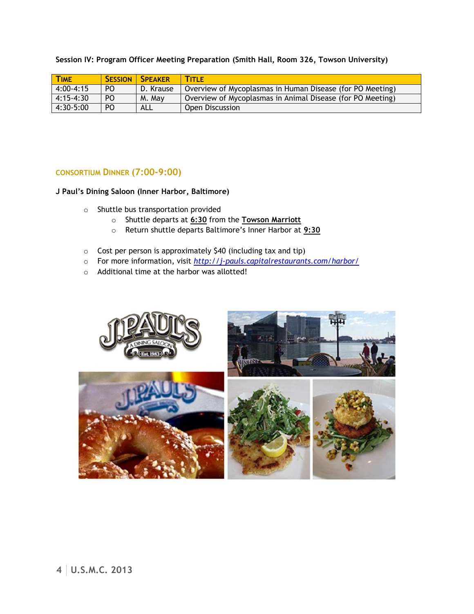**Session IV: Program Officer Meeting Preparation (Smith Hall, Room 326, Towson University)**

| <b>TIME</b>   |     | <b>SESSION   SPEAKER</b> | <b>TITLE</b>                                               |
|---------------|-----|--------------------------|------------------------------------------------------------|
| $4:00 - 4:15$ | PO. | I D. Krause              | Overview of Mycoplasmas in Human Disease (for PO Meeting)  |
| $ 4:15-4:30 $ | PO. | M. May                   | Overview of Mycoplasmas in Animal Disease (for PO Meeting) |
| 4:30-5:00     | PO. | ALL                      | Open Discussion                                            |

#### **CONSORTIUM DINNER (7:00-9:00)**

**J Paul's Dining Saloon (Inner Harbor, Baltimore)**

- o Shuttle bus transportation provided
	- o Shuttle departs at **6:30** from the **Towson Marriott**
	- o Return shuttle departs Baltimore's Inner Harbor at **9:30**
- o Cost per person is approximately \$40 (including tax and tip)
- o For more information, visit *<http://j-pauls.capitalrestaurants.com/harbor/>*
- o Additional time at the harbor was allotted!

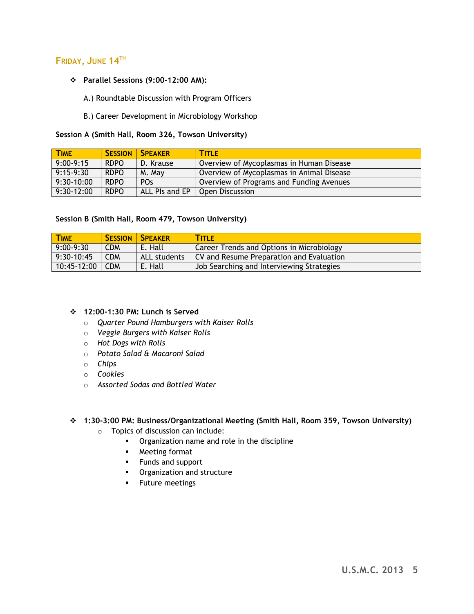## **FRIDAY, JUNE 14TH**

**Parallel Sessions (9:00-12:00 AM):** 

A.) Roundtable Discussion with Program Officers

B.) Career Development in Microbiology Workshop

**Session A (Smith Hall, Room 326, Towson University)**

| <b>TIME</b>  |             | <b>SESSION   SPEAKER</b> | <b>TITLE</b>                              |
|--------------|-------------|--------------------------|-------------------------------------------|
| $9:00-9:15$  | <b>RDPO</b> | D. Krause                | Overview of Mycoplasmas in Human Disease  |
| $9:15-9:30$  | <b>RDPO</b> | M. May                   | Overview of Mycoplasmas in Animal Disease |
| $9:30-10:00$ | <b>RDPO</b> | PO <sub>S</sub>          | Overview of Programs and Funding Avenues  |
| $9:30-12:00$ | <b>RDPO</b> | ALL PIs and EP           | Open Discussion                           |

#### **Session B (Smith Hall, Room 479, Towson University)**

| <b>TIME</b>  |            | <b>SESSION   SPEAKER</b> | <b>TITLE</b>                              |
|--------------|------------|--------------------------|-------------------------------------------|
| $9:00-9:30$  | <b>CDM</b> | E. Hall                  | Career Trends and Options in Microbiology |
| $9:30-10:45$ | <b>CDM</b> | ALL students             | CV and Resume Preparation and Evaluation  |
| 10:45-12:00  | <b>CDM</b> | E. Hall                  | Job Searching and Interviewing Strategies |

#### **12:00-1:30 PM: Lunch is Served**

- o *Quarter Pound Hamburgers with Kaiser Rolls*
- o *Veggie Burgers with Kaiser Rolls*
- o *Hot Dogs with Rolls*
- o *Potato Salad & Macaroni Salad*
- o *Chips*
- o *Cookies*
- o *Assorted Sodas and Bottled Water*

#### **1:30-3:00 PM: Business/Organizational Meeting (Smith Hall, Room 359, Towson University)**

- o Topics of discussion can include:
	- **•** Organization name and role in the discipline
	- Meeting format
	- **Funds and support**
	- **•** Organization and structure
	- **Future meetings**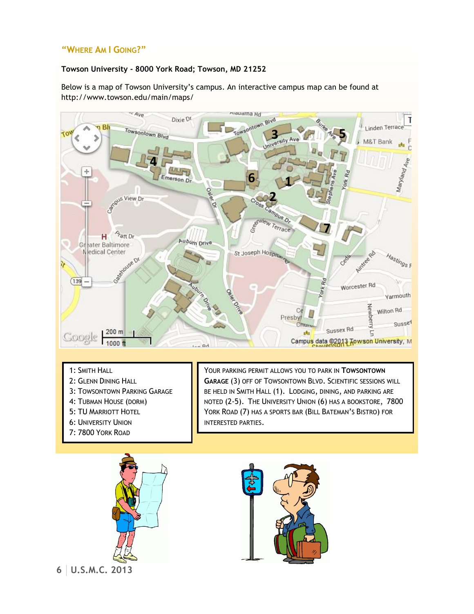## **"WHERE AM I GOING?"**

#### **Towson University - 8000 York Road; Towson, MD 21252**

Below is a map of Towson University's campus. An interactive campus map can be found at http://www.towson.edu/main/maps/



- 1: SMITH HALL
- 2: GLENN DINING HALL
- 3: TOWSONTOWN PARKING GARAGE
- 4: TUBMAN HOUSE (DORM)
- 5: TU MARRIOTT HOTEL
- 6: UNIVERSITY UNION
- 7: 7800 YORK ROAD



YORK ROAD (7) HAS A SPORTS BAR (BILL BATEMAN'S BISTRO) FOR INTERESTED PARTIES.

YOUR PARKING PERMIT ALLOWS YOU TO PARK IN **TOWSONTOWN GARAGE** (3) OFF OF TOWSONTOWN BLVD. SCIENTIFIC SESSIONS WILL BE HELD IN SMITH HALL (1). LODGING, DINING, AND PARKING ARE NOTED (2-5). THE UNIVERSITY UNION (6) HAS A BOOKSTORE, 7800



**6 U.S.M.C. 2013**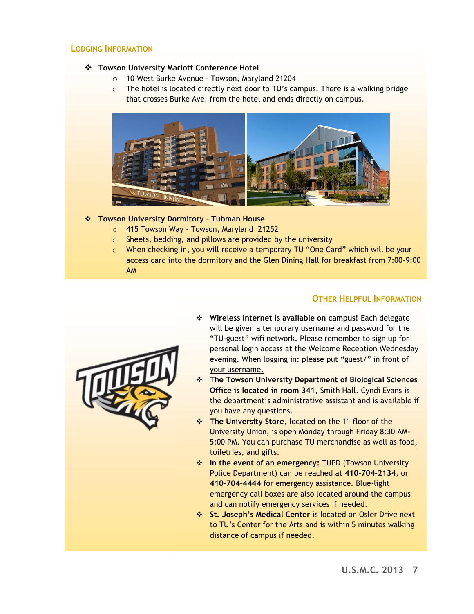#### **LODGING INFORMATION**

#### **Towson University Mariott Conference Hotel**

- o 10 West Burke Avenue Towson, Maryland 21204
- $\circ$  The hotel is located directly next door to TU's campus. There is a walking bridge that crosses Burke Ave. from the hotel and ends directly on campus.



#### **Towson University Dormitory – Tubman House**

- o 415 Towson Way Towson, Maryland 21252
- o Sheets, bedding, and pillows are provided by the university
- o When checking in, you will receive a temporary TU "One Card" which will be your access card into the dormitory and the Glen Dining Hall for breakfast from 7:00-9:00 AM

## **OTHER HELPFUL INFORMATION**



- **Wireless internet is available on campus!** Each delegate will be given a temporary username and password for the "TU-guest" wifi network. Please remember to sign up for personal login access at the Welcome Reception Wednesday evening. When logging in: please put "guest/" in front of your username.
- **The Towson University Department of Biological Sciences Office is located in room 341**, Smith Hall. Cyndi Evans is the department's administrative assistant and is available if you have any questions.
- **The University Store, located on the 1<sup>st</sup> floor of the** University Union, is open Monday through Friday 8:30 AM-5:00 PM. You can purchase TU merchandise as well as food, toiletries, and gifts.
- **In the event of an emergency: TUPD (Towson University** Police Department) can be reached at **410-704-2134**, or **410-704-4444** for emergency assistance. Blue-light emergency call boxes are also located around the campus and can notify emergency services if needed.
- **St. Joseph's Medical Center** is located on Osler Drive next to TU's Center for the Arts and is within 5 minutes walking distance of campus if needed.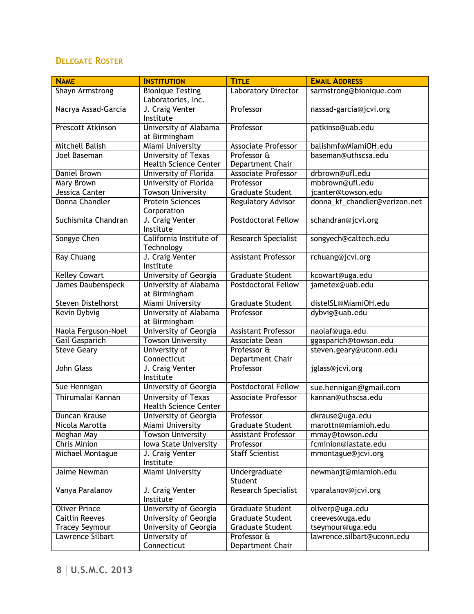## **DELEGATE ROSTER**

| <b>NAME</b>               | <b>INSTITUTION</b>                                         | <b>TITLE</b>                    | <b>EMAIL ADDRESS</b>          |
|---------------------------|------------------------------------------------------------|---------------------------------|-------------------------------|
| Shayn Armstrong           | <b>Bionique Testing</b><br>Laboratories, Inc.              | Laboratory Director             | sarmstrong@bionique.com       |
| Nacrya Assad-Garcia       | J. Craig Venter<br>Institute                               | Professor                       | nassad-garcia@jcvi.org        |
| Prescott Atkinson         | University of Alabama<br>at Birmingham                     | Professor                       | patkinso@uab.edu              |
| Mitchell Balish           | <b>Miami University</b>                                    | Associate Professor             | balishmf@MiamiOH.edu          |
| Joel Baseman              | University of Texas<br><b>Health Science Center</b>        | Professor &<br>Department Chair | baseman@uthscsa.edu           |
| <b>Daniel Brown</b>       | University of Florida                                      | <b>Associate Professor</b>      | drbrown@ufl.edu               |
| <b>Mary Brown</b>         | University of Florida                                      | Professor                       | mbbrown@ufl.edu               |
| Jessica Canter            | <b>Towson University</b>                                   | <b>Graduate Student</b>         | jcanter@towson.edu            |
| Donna Chandler            | <b>Protein Sciences</b><br>Corporation                     | Regulatory Advisor              | donna_kf_chandler@verizon.net |
| Suchismita Chandran       | J. Craig Venter<br>Institute                               | <b>Postdoctoral Fellow</b>      | schandran@jcvi.org            |
| Songye Chen               | California Institute of<br>Technology                      | <b>Research Specialist</b>      | songyech@caltech.edu          |
| <b>Ray Chuang</b>         | J. Craig Venter<br>Institute                               | <b>Assistant Professor</b>      | rchuang@jcvi.org              |
| <b>Kelley Cowart</b>      | University of Georgia                                      | <b>Graduate Student</b>         | kcowart@uga.edu               |
| <b>James Daubenspeck</b>  | University of Alabama<br>at Birmingham                     | <b>Postdoctoral Fellow</b>      | jametex@uab.edu               |
| <b>Steven Distelhorst</b> | Miami University                                           | <b>Graduate Student</b>         | distelSL@MiamiOH.edu          |
| Kevin Dybvig              | University of Alabama<br>at Birmingham                     | Professor                       | dybvig@uab.edu                |
| Naola Ferguson-Noel       | University of Georgia                                      | <b>Assistant Professor</b>      | naolaf@uga.edu                |
| Gail Gasparich            | <b>Towson University</b>                                   | <b>Associate Dean</b>           | ggasparich@towson.edu         |
| <b>Steve Geary</b>        | University of                                              | Professor &                     | steven.geary@uconn.edu        |
|                           | Connecticut                                                | Department Chair                |                               |
| John Glass                | J. Craig Venter<br>Institute                               | Professor                       | jglass@jcvi.org               |
| Sue Hennigan              | University of Georgia                                      | Postdoctoral Fellow             | sue.hennigan@gmail.com        |
| Thirumalai Kannan         | <b>University of Texas</b><br><b>Health Science Center</b> | <b>Associate Professor</b>      | kannan@uthscsa.edu            |
| Duncan Krause             | University of Georgia                                      | Professor                       | dkrause@uga.edu               |
| Nicola Marotta            | Miami University                                           | <b>Graduate Student</b>         | marottn@miamioh.edu           |
| Meghan May                | <b>Towson University</b>                                   | <b>Assistant Professor</b>      | mmay@towson.edu               |
| <b>Chris Minion</b>       | Iowa State University                                      | Professor                       | fcminion@iastate.edu          |
| Michael Montague          | J. Craig Venter<br>Institute                               | <b>Staff Scientist</b>          | mmontague@jcvi.org            |
| Jaime Newman              | Miami University                                           | Undergraduate<br>Student        | newmanjt@miamioh.edu          |
| Vanya Paralanov           | J. Craig Venter<br>Institute                               | <b>Research Specialist</b>      | vparalanov@jcvi.org           |
| <b>Oliver Prince</b>      | University of Georgia                                      | <b>Graduate Student</b>         | oliverp@uga.edu               |
| <b>Caitlin Reeves</b>     | University of Georgia                                      | <b>Graduate Student</b>         | creeves@uga.edu               |
| <b>Tracey Seymour</b>     | University of Georgia                                      | <b>Graduate Student</b>         | tseymour@uga.edu              |
| Lawrence Silbart          | University of<br>Connecticut                               | Professor &<br>Department Chair | lawrence.silbart@uconn.edu    |